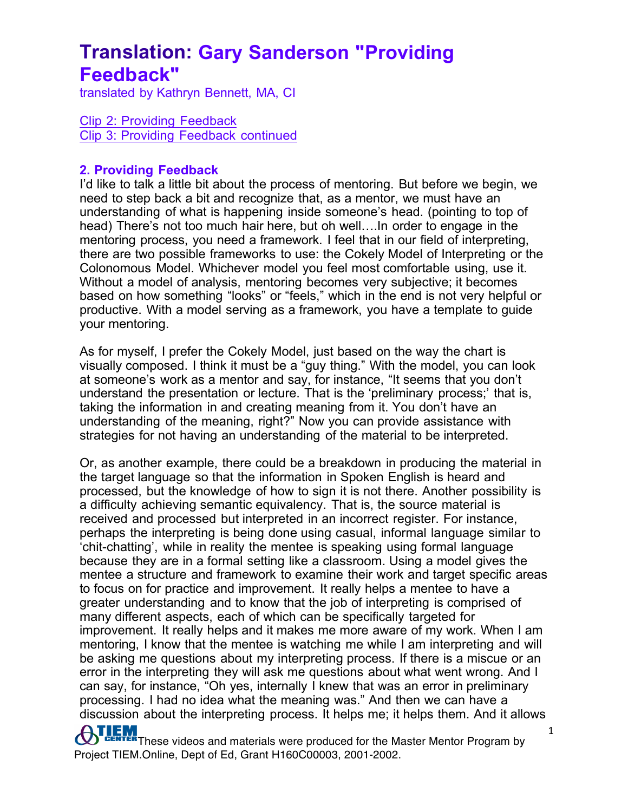translated by Kathryn Bennett, MA, CI

Clip 2: Providing Feedback Clip 3: Providing Feedback continued

#### **2. Providing Feedback**

I'd like to talk a little bit about the process of mentoring. But before we begin, we need to step back a bit and recognize that, as a mentor, we must have an understanding of what is happening inside someone's head. (pointing to top of head) There's not too much hair here, but oh well….In order to engage in the mentoring process, you need a framework. I feel that in our field of interpreting, there are two possible frameworks to use: the Cokely Model of Interpreting or the Colonomous Model. Whichever model you feel most comfortable using, use it. Without a model of analysis, mentoring becomes very subjective; it becomes based on how something "looks" or "feels," which in the end is not very helpful or productive. With a model serving as a framework, you have a template to guide your mentoring.

As for myself, I prefer the Cokely Model, just based on the way the chart is visually composed. I think it must be a "guy thing." With the model, you can look at someone's work as a mentor and say, for instance, "It seems that you don't understand the presentation or lecture. That is the 'preliminary process;' that is, taking the information in and creating meaning from it. You don't have an understanding of the meaning, right?" Now you can provide assistance with strategies for not having an understanding of the material to be interpreted.

Or, as another example, there could be a breakdown in producing the material in the target language so that the information in Spoken English is heard and processed, but the knowledge of how to sign it is not there. Another possibility is a difficulty achieving semantic equivalency. That is, the source material is received and processed but interpreted in an incorrect register. For instance, perhaps the interpreting is being done using casual, informal language similar to 'chit-chatting', while in reality the mentee is speaking using formal language because they are in a formal setting like a classroom. Using a model gives the mentee a structure and framework to examine their work and target specific areas to focus on for practice and improvement. It really helps a mentee to have a greater understanding and to know that the job of interpreting is comprised of many different aspects, each of which can be specifically targeted for improvement. It really helps and it makes me more aware of my work. When I am mentoring, I know that the mentee is watching me while I am interpreting and will be asking me questions about my interpreting process. If there is a miscue or an error in the interpreting they will ask me questions about what went wrong. And I can say, for instance, "Oh yes, internally I knew that was an error in preliminary processing. I had no idea what the meaning was." And then we can have a discussion about the interpreting process. It helps me; it helps them. And it allows

**OTLEM**<br>These videos and materials were produced for the Master Mentor Program by Project TIEM.Online, Dept of Ed, Grant H160C00003, 2001-2002.

1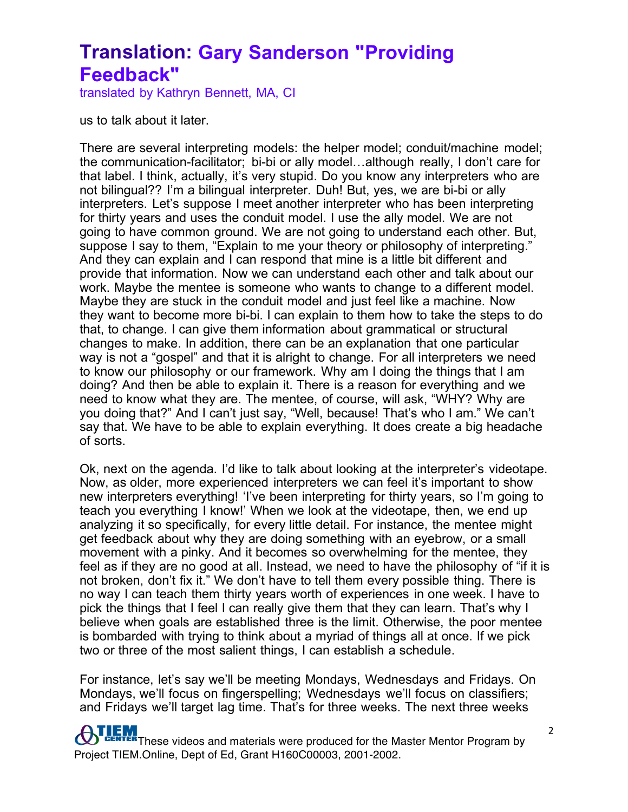translated by Kathryn Bennett, MA, CI

us to talk about it later.

There are several interpreting models: the helper model; conduit/machine model; the communication-facilitator; bi-bi or ally model…although really, I don't care for that label. I think, actually, it's very stupid. Do you know any interpreters who are not bilingual?? I'm a bilingual interpreter. Duh! But, yes, we are bi-bi or ally interpreters. Let's suppose I meet another interpreter who has been interpreting for thirty years and uses the conduit model. I use the ally model. We are not going to have common ground. We are not going to understand each other. But, suppose I say to them, "Explain to me your theory or philosophy of interpreting." And they can explain and I can respond that mine is a little bit different and provide that information. Now we can understand each other and talk about our work. Maybe the mentee is someone who wants to change to a different model. Maybe they are stuck in the conduit model and just feel like a machine. Now they want to become more bi-bi. I can explain to them how to take the steps to do that, to change. I can give them information about grammatical or structural changes to make. In addition, there can be an explanation that one particular way is not a "gospel" and that it is alright to change. For all interpreters we need to know our philosophy or our framework. Why am I doing the things that I am doing? And then be able to explain it. There is a reason for everything and we need to know what they are. The mentee, of course, will ask, "WHY? Why are you doing that?" And I can't just say, "Well, because! That's who I am." We can't say that. We have to be able to explain everything. It does create a big headache of sorts.

Ok, next on the agenda. I'd like to talk about looking at the interpreter's videotape. Now, as older, more experienced interpreters we can feel it's important to show new interpreters everything! 'I've been interpreting for thirty years, so I'm going to teach you everything I know!' When we look at the videotape, then, we end up analyzing it so specifically, for every little detail. For instance, the mentee might get feedback about why they are doing something with an eyebrow, or a small movement with a pinky. And it becomes so overwhelming for the mentee, they feel as if they are no good at all. Instead, we need to have the philosophy of "if it is not broken, don't fix it." We don't have to tell them every possible thing. There is no way I can teach them thirty years worth of experiences in one week. I have to pick the things that I feel I can really give them that they can learn. That's why I believe when goals are established three is the limit. Otherwise, the poor mentee is bombarded with trying to think about a myriad of things all at once. If we pick two or three of the most salient things, I can establish a schedule.

For instance, let's say we'll be meeting Mondays, Wednesdays and Fridays. On Mondays, we'll focus on fingerspelling; Wednesdays we'll focus on classifiers; and Fridays we'll target lag time. That's for three weeks. The next three weeks

**TEM**<br>**These videos and materials were produced for the Master Mentor Program by** Project TIEM.Online, Dept of Ed, Grant H160C00003, 2001-2002.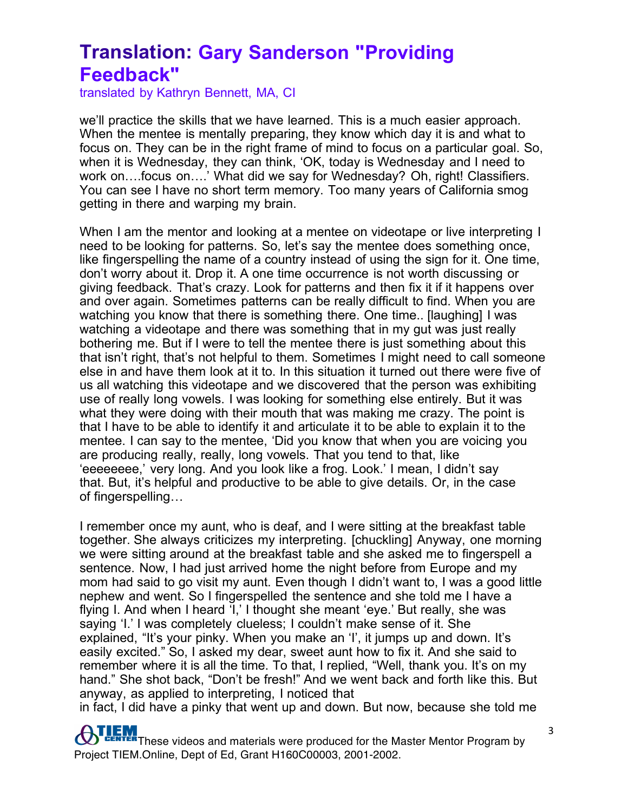translated by Kathryn Bennett, MA, CI

we'll practice the skills that we have learned. This is a much easier approach. When the mentee is mentally preparing, they know which day it is and what to focus on. They can be in the right frame of mind to focus on a particular goal. So, when it is Wednesday, they can think, 'OK, today is Wednesday and I need to work on….focus on….' What did we say for Wednesday? Oh, right! Classifiers. You can see I have no short term memory. Too many years of California smog getting in there and warping my brain.

When I am the mentor and looking at a mentee on videotape or live interpreting I need to be looking for patterns. So, let's say the mentee does something once, like fingerspelling the name of a country instead of using the sign for it. One time, don't worry about it. Drop it. A one time occurrence is not worth discussing or giving feedback. That's crazy. Look for patterns and then fix it if it happens over and over again. Sometimes patterns can be really difficult to find. When you are watching you know that there is something there. One time.. [laughing] I was watching a videotape and there was something that in my gut was just really bothering me. But if I were to tell the mentee there is just something about this that isn't right, that's not helpful to them. Sometimes I might need to call someone else in and have them look at it to. In this situation it turned out there were five of us all watching this videotape and we discovered that the person was exhibiting use of really long vowels. I was looking for something else entirely. But it was what they were doing with their mouth that was making me crazy. The point is that I have to be able to identify it and articulate it to be able to explain it to the mentee. I can say to the mentee, 'Did you know that when you are voicing you are producing really, really, long vowels. That you tend to that, like 'eeeeeeee,' very long. And you look like a frog. Look.' I mean, I didn't say that. But, it's helpful and productive to be able to give details. Or, in the case of fingerspelling…

I remember once my aunt, who is deaf, and I were sitting at the breakfast table together. She always criticizes my interpreting. [chuckling] Anyway, one morning we were sitting around at the breakfast table and she asked me to fingerspell a sentence. Now, I had just arrived home the night before from Europe and my mom had said to go visit my aunt. Even though I didn't want to, I was a good little nephew and went. So I fingerspelled the sentence and she told me I have a flying I. And when I heard 'I,' I thought she meant 'eye.' But really, she was saying 'I.' I was completely clueless; I couldn't make sense of it. She explained, "It's your pinky. When you make an 'I', it jumps up and down. It's easily excited." So, I asked my dear, sweet aunt how to fix it. And she said to remember where it is all the time. To that, I replied, "Well, thank you. It's on my hand." She shot back, "Don't be fresh!" And we went back and forth like this. But anyway, as applied to interpreting, I noticed that

in fact, I did have a pinky that went up and down. But now, because she told me

**ATLEM**<br>These videos and materials were produced for the Master Mentor Program by Project TIEM.Online, Dept of Ed, Grant H160C00003, 2001-2002.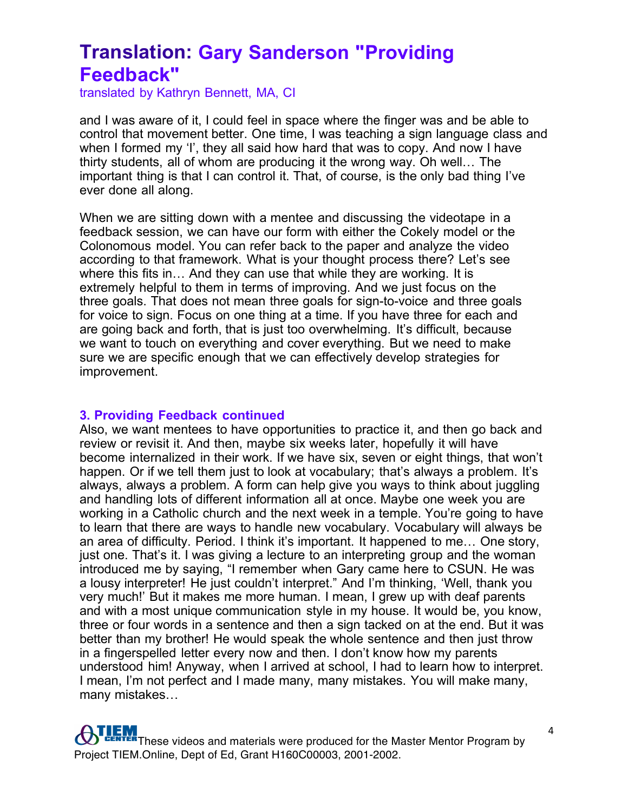translated by Kathryn Bennett, MA, CI

and I was aware of it, I could feel in space where the finger was and be able to control that movement better. One time, I was teaching a sign language class and when I formed my 'I', they all said how hard that was to copy. And now I have thirty students, all of whom are producing it the wrong way. Oh well… The important thing is that I can control it. That, of course, is the only bad thing I've ever done all along.

When we are sitting down with a mentee and discussing the videotape in a feedback session, we can have our form with either the Cokely model or the Colonomous model. You can refer back to the paper and analyze the video according to that framework. What is your thought process there? Let's see where this fits in… And they can use that while they are working. It is extremely helpful to them in terms of improving. And we just focus on the three goals. That does not mean three goals for sign-to-voice and three goals for voice to sign. Focus on one thing at a time. If you have three for each and are going back and forth, that is just too overwhelming. It's difficult, because we want to touch on everything and cover everything. But we need to make sure we are specific enough that we can effectively develop strategies for improvement.

#### **3. Providing Feedback continued**

Also, we want mentees to have opportunities to practice it, and then go back and review or revisit it. And then, maybe six weeks later, hopefully it will have become internalized in their work. If we have six, seven or eight things, that won't happen. Or if we tell them just to look at vocabulary; that's always a problem. It's always, always a problem. A form can help give you ways to think about juggling and handling lots of different information all at once. Maybe one week you are working in a Catholic church and the next week in a temple. You're going to have to learn that there are ways to handle new vocabulary. Vocabulary will always be an area of difficulty. Period. I think it's important. It happened to me… One story, just one. That's it. I was giving a lecture to an interpreting group and the woman introduced me by saying, "I remember when Gary came here to CSUN. He was a lousy interpreter! He just couldn't interpret." And I'm thinking, 'Well, thank you very much!' But it makes me more human. I mean, I grew up with deaf parents and with a most unique communication style in my house. It would be, you know, three or four words in a sentence and then a sign tacked on at the end. But it was better than my brother! He would speak the whole sentence and then just throw in a fingerspelled letter every now and then. I don't know how my parents understood him! Anyway, when I arrived at school, I had to learn how to interpret. I mean, I'm not perfect and I made many, many mistakes. You will make many, many mistakes…

**ATLEM**<br>These videos and materials were produced for the Master Mentor Program by Project TIEM.Online, Dept of Ed, Grant H160C00003, 2001-2002.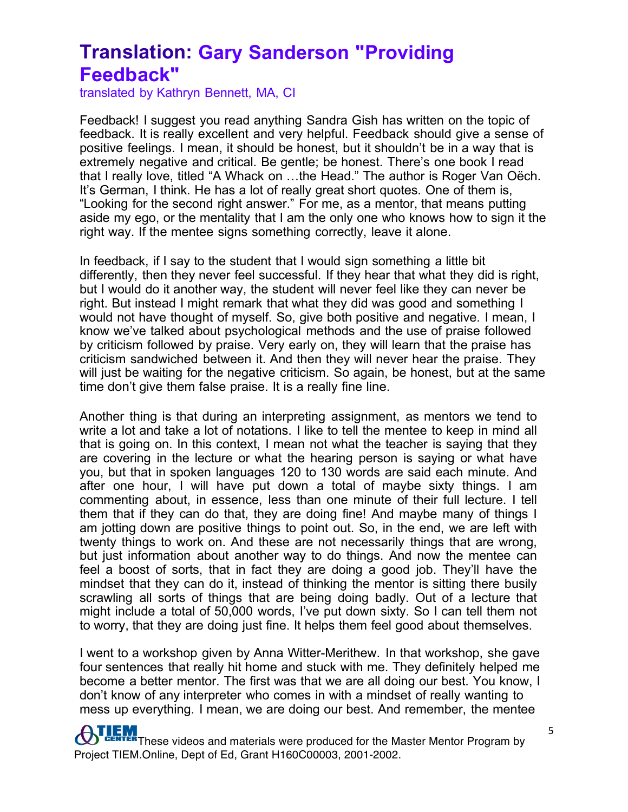translated by Kathryn Bennett, MA, CI

Feedback! I suggest you read anything Sandra Gish has written on the topic of feedback. It is really excellent and very helpful. Feedback should give a sense of positive feelings. I mean, it should be honest, but it shouldn't be in a way that is extremely negative and critical. Be gentle; be honest. There's one book I read that I really love, titled "A Whack on …the Head." The author is Roger Van Oëch. It's German, I think. He has a lot of really great short quotes. One of them is, "Looking for the second right answer." For me, as a mentor, that means putting aside my ego, or the mentality that I am the only one who knows how to sign it the right way. If the mentee signs something correctly, leave it alone.

In feedback, if I say to the student that I would sign something a little bit differently, then they never feel successful. If they hear that what they did is right, but I would do it another way, the student will never feel like they can never be right. But instead I might remark that what they did was good and something I would not have thought of myself. So, give both positive and negative. I mean, I know we've talked about psychological methods and the use of praise followed by criticism followed by praise. Very early on, they will learn that the praise has criticism sandwiched between it. And then they will never hear the praise. They will just be waiting for the negative criticism. So again, be honest, but at the same time don't give them false praise. It is a really fine line.

Another thing is that during an interpreting assignment, as mentors we tend to write a lot and take a lot of notations. I like to tell the mentee to keep in mind all that is going on. In this context, I mean not what the teacher is saying that they are covering in the lecture or what the hearing person is saying or what have you, but that in spoken languages 120 to 130 words are said each minute. And after one hour, I will have put down a total of maybe sixty things. I am commenting about, in essence, less than one minute of their full lecture. I tell them that if they can do that, they are doing fine! And maybe many of things I am jotting down are positive things to point out. So, in the end, we are left with twenty things to work on. And these are not necessarily things that are wrong, but just information about another way to do things. And now the mentee can feel a boost of sorts, that in fact they are doing a good job. They'll have the mindset that they can do it, instead of thinking the mentor is sitting there busily scrawling all sorts of things that are being doing badly. Out of a lecture that might include a total of 50,000 words, I've put down sixty. So I can tell them not to worry, that they are doing just fine. It helps them feel good about themselves.

I went to a workshop given by Anna Witter-Merithew. In that workshop, she gave four sentences that really hit home and stuck with me. They definitely helped me become a better mentor. The first was that we are all doing our best. You know, I don't know of any interpreter who comes in with a mindset of really wanting to mess up everything. I mean, we are doing our best. And remember, the mentee

**THEM**<br>These videos and materials were produced for the Master Mentor Program by Project TIEM.Online, Dept of Ed, Grant H160C00003, 2001-2002.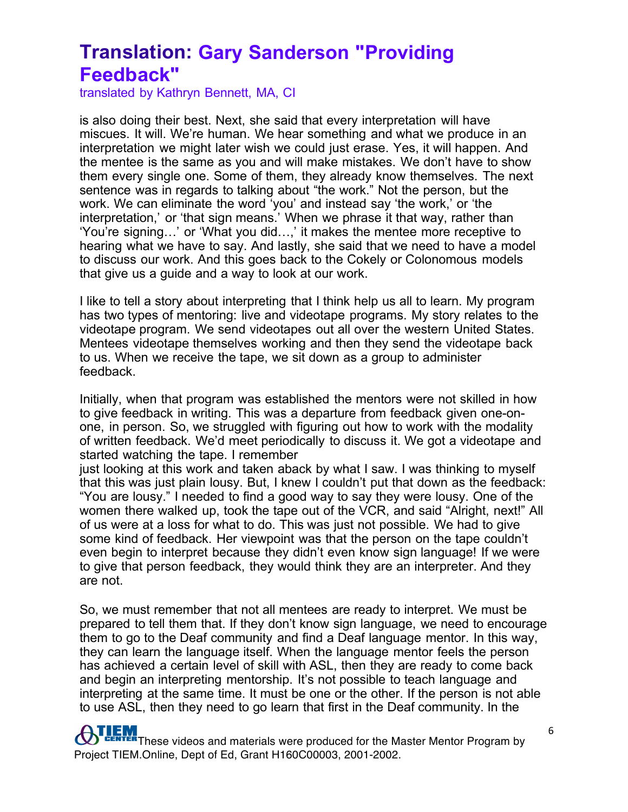translated by Kathryn Bennett, MA, CI

is also doing their best. Next, she said that every interpretation will have miscues. It will. We're human. We hear something and what we produce in an interpretation we might later wish we could just erase. Yes, it will happen. And the mentee is the same as you and will make mistakes. We don't have to show them every single one. Some of them, they already know themselves. The next sentence was in regards to talking about "the work." Not the person, but the work. We can eliminate the word 'you' and instead say 'the work,' or 'the interpretation,' or 'that sign means.' When we phrase it that way, rather than 'You're signing…' or 'What you did…,' it makes the mentee more receptive to hearing what we have to say. And lastly, she said that we need to have a model to discuss our work. And this goes back to the Cokely or Colonomous models that give us a guide and a way to look at our work.

I like to tell a story about interpreting that I think help us all to learn. My program has two types of mentoring: live and videotape programs. My story relates to the videotape program. We send videotapes out all over the western United States. Mentees videotape themselves working and then they send the videotape back to us. When we receive the tape, we sit down as a group to administer feedback.

Initially, when that program was established the mentors were not skilled in how to give feedback in writing. This was a departure from feedback given one-onone, in person. So, we struggled with figuring out how to work with the modality of written feedback. We'd meet periodically to discuss it. We got a videotape and started watching the tape. I remember

just looking at this work and taken aback by what I saw. I was thinking to myself that this was just plain lousy. But, I knew I couldn't put that down as the feedback: "You are lousy." I needed to find a good way to say they were lousy. One of the women there walked up, took the tape out of the VCR, and said "Alright, next!" All of us were at a loss for what to do. This was just not possible. We had to give some kind of feedback. Her viewpoint was that the person on the tape couldn't even begin to interpret because they didn't even know sign language! If we were to give that person feedback, they would think they are an interpreter. And they are not.

So, we must remember that not all mentees are ready to interpret. We must be prepared to tell them that. If they don't know sign language, we need to encourage them to go to the Deaf community and find a Deaf language mentor. In this way, they can learn the language itself. When the language mentor feels the person has achieved a certain level of skill with ASL, then they are ready to come back and begin an interpreting mentorship. It's not possible to teach language and interpreting at the same time. It must be one or the other. If the person is not able to use ASL, then they need to go learn that first in the Deaf community. In the

**TEM**<br>These videos and materials were produced for the Master Mentor Program by Project TIEM.Online, Dept of Ed, Grant H160C00003, 2001-2002.